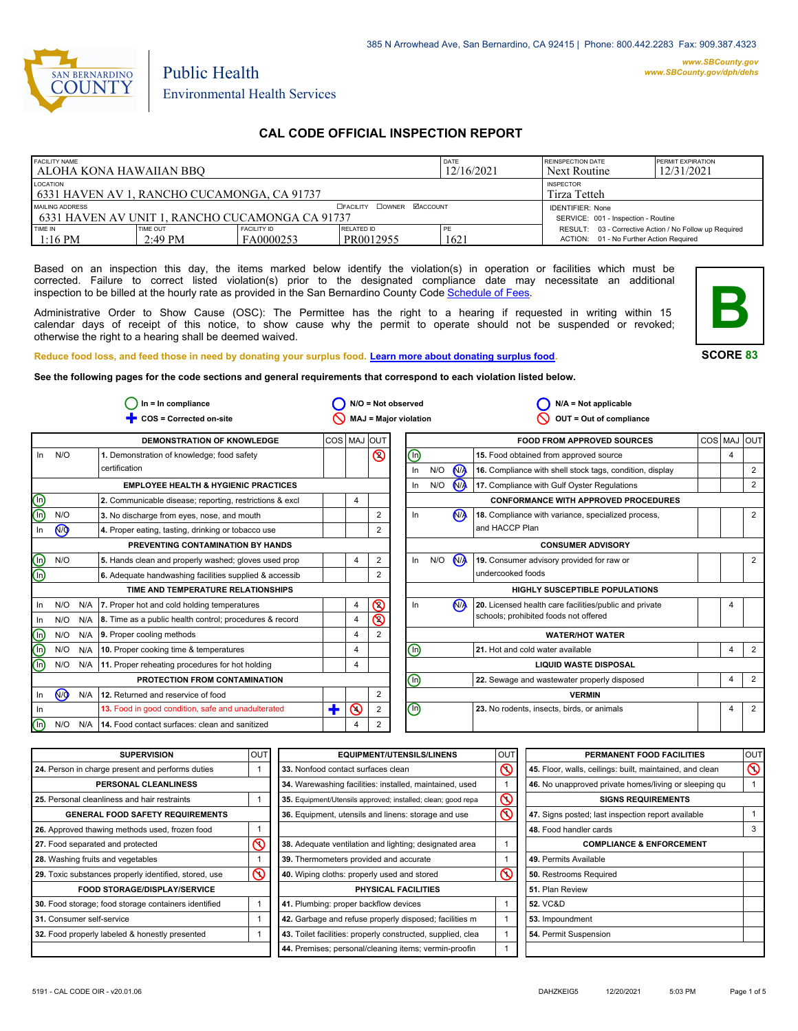

# Public Health Environmental Health Services

## **CAL CODE OFFICIAL INSPECTION REPORT**

| <b>FACILITY NAME</b><br>l ALOHA KONA HAWAIIAN BBO                                           |                       |                                 | DATE<br>12/16/2021                         | <b>REINSPECTION DATE</b><br>Next Routine | <b>PERMIT EXPIRATION</b><br>12/31/2021                                                            |  |
|---------------------------------------------------------------------------------------------|-----------------------|---------------------------------|--------------------------------------------|------------------------------------------|---------------------------------------------------------------------------------------------------|--|
| LOCATION<br><b>INSPECTOR</b><br>6331 HAVEN AV 1, RANCHO CUCAMONGA, CA 91737<br>Tirza Tetteh |                       |                                 |                                            |                                          |                                                                                                   |  |
| MAILING ADDRESS<br>1 6331 HAVEN AV UNIT 1. RANCHO CUCAMONGA CA 91737                        |                       |                                 | <b>DOWNER MACCOUNT</b><br><b>DEACILITY</b> |                                          | <b>IDENTIFIER: None</b><br>SERVICE: 001 - Inspection - Routine                                    |  |
| TIME IN<br>$1:16$ PM                                                                        | TIME OUT<br>$2:49$ PM | <b>FACILITY ID</b><br>FA0000253 | <b>RELATED ID</b><br>PR0012955             | PE<br>1621                               | RESULT: 03 - Corrective Action / No Follow up Required<br>ACTION: 01 - No Further Action Required |  |

Based on an inspection this day, the items marked below identify the violation(s) in operation or facilities which must be corrected. Failure to correct listed violation(s) prior to the designated compliance date may necessitate an additional inspection to be billed at the hourly rate as provided in the San Bernardino County Co[de Schedule of Fees.](https://codelibrary.amlegal.com/codes/sanbernardino/latest/sanberncty_ca/0-0-0-122474#JD_16.0213B)

Administrative Order to Show Cause (OSC): The Permittee has the right to a hearing if requested in writing within 15 calendar days of receipt of this notice, to show cause why the permit to operate should not be suspended or revoked; otherwise the right to a hearing shall be deemed waived.



**SCORE 83**

**Reduce food loss, and feed those in need by donating your surplus f[ood. Learn more about donating surplus food.](https://wp.sbcounty.gov/dph/programs/ehs/charitable-food-service/)**

**See the following pages for the code sections and general requirements that correspond to each violation listed below.**

|                         | $In = In$ compliance |     |                                                               | $N/O = Not observed$ |         |                              | $N/A = Not applicable$         |     |                      |                                                          |                |                |
|-------------------------|----------------------|-----|---------------------------------------------------------------|----------------------|---------|------------------------------|--------------------------------|-----|----------------------|----------------------------------------------------------|----------------|----------------|
|                         |                      |     | COS = Corrected on-site                                       |                      |         | <b>MAJ = Major violation</b> |                                |     |                      | OUT = Out of compliance                                  |                |                |
|                         |                      |     | <b>DEMONSTRATION OF KNOWLEDGE</b>                             | COS MAJ              |         | IOUT                         |                                |     |                      | <b>FOOD FROM APPROVED SOURCES</b>                        | COS MAJ        | <b>OUT</b>     |
| In                      | N/O                  |     | 1. Demonstration of knowledge; food safety                    |                      |         | $\circledcirc$               | $\textcircled{\scriptsize{0}}$ |     |                      | 15. Food obtained from approved source                   | $\overline{4}$ |                |
|                         |                      |     | certification                                                 |                      |         |                              | In                             | N/O | <b>MA</b>            | 16. Compliance with shell stock tags, condition, display |                | $\overline{2}$ |
|                         |                      |     | <b>EMPLOYEE HEALTH &amp; HYGIENIC PRACTICES</b>               |                      |         |                              | In                             | N/O | <b>N<sub>A</sub></b> | 17. Compliance with Gulf Oyster Regulations              |                | 2              |
| <u>මල</u>               |                      |     | 2. Communicable disease; reporting, restrictions & excl       |                      | 4       |                              |                                |     |                      | <b>CONFORMANCE WITH APPROVED PROCEDURES</b>              |                |                |
|                         | N/O                  |     | 3. No discharge from eyes, nose, and mouth                    |                      |         | 2                            | In                             |     | N <sub>A</sub>       | 18. Compliance with variance, specialized process,       |                | $\overline{2}$ |
| In                      | N <sub>O</sub>       |     | 4. Proper eating, tasting, drinking or tobacco use            |                      |         |                              |                                |     |                      | and HACCP Plan                                           |                |                |
|                         |                      |     | PREVENTING CONTAMINATION BY HANDS                             |                      |         |                              |                                |     |                      | <b>CONSUMER ADVISORY</b>                                 |                |                |
|                         | N/O                  |     | 5. Hands clean and properly washed; gloves used prop          |                      | 4       | 2                            | In                             | N/O | <b>N<sub>A</sub></b> | 19. Consumer advisory provided for raw or                |                | 2              |
| @@                      |                      |     | 6. Adequate handwashing facilities supplied & accessib        |                      |         | 2                            |                                |     |                      | undercooked foods                                        |                |                |
|                         |                      |     | TIME AND TEMPERATURE RELATIONSHIPS                            |                      |         |                              |                                |     |                      | <b>HIGHLY SUSCEPTIBLE POPULATIONS</b>                    |                |                |
| In                      | N/O                  |     | N/A   7. Proper hot and cold holding temperatures             |                      | 4       | $\circledcirc$               | In                             |     | N <sub>A</sub>       | 20. Licensed health care facilities/public and private   | 4              |                |
| - In                    | N/O                  |     | N/A   8. Time as a public health control; procedures & record |                      | 4       | $\overline{\mathbb{S}}$      |                                |     |                      | schools; prohibited foods not offered                    |                |                |
| $\mathbb{\Theta}$       | N/O                  |     | $N/A$ 9. Proper cooling methods                               |                      | 4       | 2                            |                                |     |                      | <b>WATER/HOT WATER</b>                                   |                |                |
| $\overline{\mathbb{O}}$ | N/O                  | N/A | 10. Proper cooking time & temperatures                        |                      | 4       |                              | ℗                              |     |                      | 21. Hot and cold water available                         | 4              | $\overline{2}$ |
| டு                      | N/O                  |     | N/A 11. Proper reheating procedures for hot holding           |                      | 4       |                              |                                |     |                      | <b>LIQUID WASTE DISPOSAL</b>                             |                |                |
|                         |                      |     | PROTECTION FROM CONTAMINATION                                 |                      |         |                              | ⋒                              |     |                      | 22. Sewage and wastewater properly disposed              | 4              | $\overline{2}$ |
| In                      | N <sub>O</sub>       | N/A | 12. Returned and reservice of food                            |                      |         | 2                            |                                |     |                      | <b>VERMIN</b>                                            |                |                |
| - In                    |                      |     | 13. Food in good condition, safe and unadulterated            | ╋                    | $\odot$ | 2                            | $\mathbb O$                    |     |                      | 23. No rodents, insects, birds, or animals               | 4              | $\overline{2}$ |
| $\left( 0 \right)$      | N/O                  | N/A | 14. Food contact surfaces: clean and sanitized                |                      | 4       | 2                            |                                |     |                      |                                                          |                |                |

| <b>SUPERVISION</b>                                    | <b>OUT</b> | <b>EQUIPMENT/UTENSILS/LINENS</b>                             | OUT                     | PERMANENT FOOD FACILITIES                                | <b>OUT</b>     |
|-------------------------------------------------------|------------|--------------------------------------------------------------|-------------------------|----------------------------------------------------------|----------------|
| 24. Person in charge present and performs duties      |            | 33. Nonfood contact surfaces clean                           | $\infty$                | 45. Floor, walls, ceilings: built, maintained, and clean | $\circledcirc$ |
| PERSONAL CLEANLINESS                                  |            | 34. Warewashing facilities: installed, maintained, used      |                         | 46. No unapproved private homes/living or sleeping qu    |                |
| 25. Personal cleanliness and hair restraints          |            | 35. Equipment/Utensils approved; installed; clean; good repa | $\infty$                | <b>SIGNS REQUIREMENTS</b>                                |                |
| <b>GENERAL FOOD SAFETY REQUIREMENTS</b>               |            | 36. Equipment, utensils and linens: storage and use          | $\overline{\mathsf{O}}$ | 47. Signs posted; last inspection report available       |                |
| 26. Approved thawing methods used, frozen food        |            |                                                              |                         | 48. Food handler cards                                   | 3              |
| 27. Food separated and protected                      |            | 38. Adequate ventilation and lighting; designated area       |                         | <b>COMPLIANCE &amp; ENFORCEMENT</b>                      |                |
| 28. Washing fruits and vegetables                     |            | 39. Thermometers provided and accurate                       |                         | 49. Permits Available                                    |                |
| 29. Toxic substances properly identified, stored, use | $\infty$   | 40. Wiping cloths: properly used and stored                  | $\infty$                | 50. Restrooms Required                                   |                |
| <b>FOOD STORAGE/DISPLAY/SERVICE</b>                   |            | PHYSICAL FACILITIES                                          |                         | 51. Plan Review                                          |                |
| 30. Food storage; food storage containers identified  |            | 41. Plumbing: proper backflow devices                        |                         | <b>52. VC&amp;D</b>                                      |                |
| 31. Consumer self-service                             |            | 42. Garbage and refuse properly disposed; facilities m       |                         | 53. Impoundment                                          |                |
| 32. Food properly labeled & honestly presented        |            | 43. Toilet facilities: properly constructed, supplied, clea  |                         | 54. Permit Suspension                                    |                |
|                                                       |            | 44. Premises; personal/cleaning items; vermin-proofin        |                         |                                                          |                |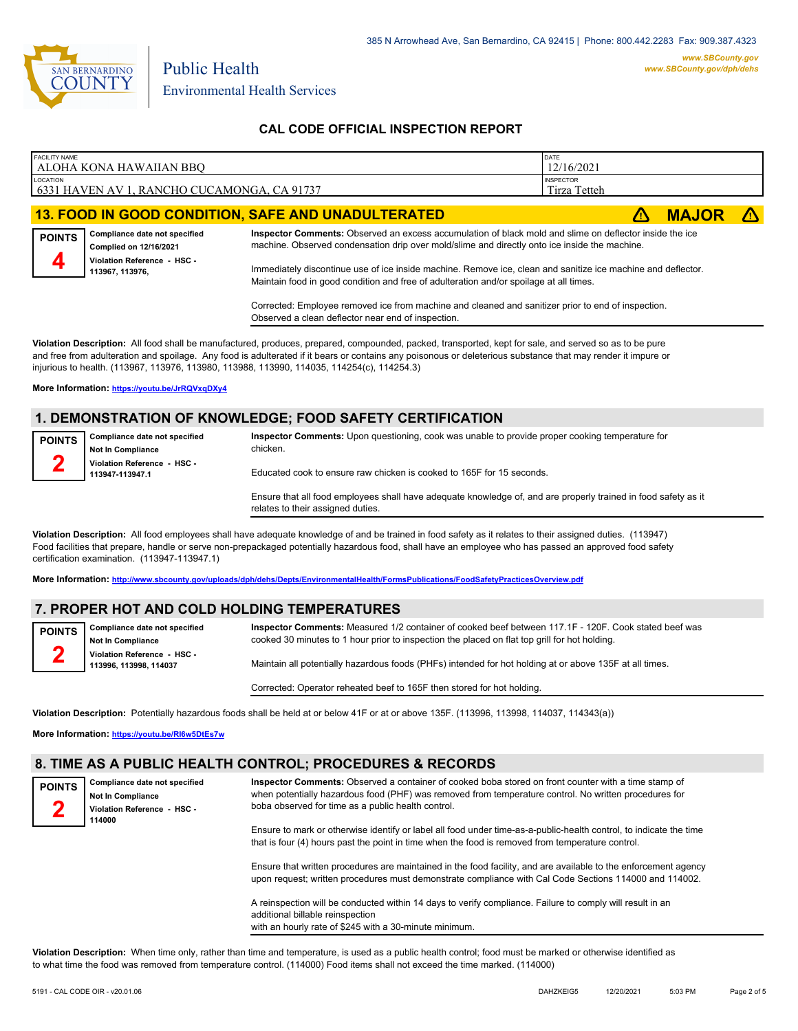

| <b>FACILITY NAME</b> | ALOHA KONA HAWAIIAN BBO                                 |                                                                                                                                                                                                          | DATE<br>12/16/2021               |              |  |
|----------------------|---------------------------------------------------------|----------------------------------------------------------------------------------------------------------------------------------------------------------------------------------------------------------|----------------------------------|--------------|--|
| LOCATION             | 6331 HAVEN AV 1, RANCHO CUCAMONGA, CA 91737             |                                                                                                                                                                                                          | <b>INSPECTOR</b><br>Tirza Tetteh |              |  |
|                      |                                                         | <b>13. FOOD IN GOOD CONDITION, SAFE AND UNADULTERATED</b>                                                                                                                                                |                                  | <b>MAJOR</b> |  |
| <b>POINTS</b>        | Compliance date not specified<br>Complied on 12/16/2021 | Inspector Comments: Observed an excess accumulation of black mold and slime on deflector inside the ice<br>machine. Observed condensation drip over mold/slime and directly onto ice inside the machine. |                                  |              |  |
| 4                    | Violation Reference - HSC -<br>113967, 113976,          | Immediately discontinue use of ice inside machine. Remove ice, clean and sanitize ice machine and deflector.<br>Maintain food in good condition and free of adulteration and/or spoilage at all times.   |                                  |              |  |
|                      |                                                         | Corrected: Employee removed ice from machine and cleaned and sanitizer prior to end of inspection.                                                                                                       |                                  |              |  |

Observed a clean deflector near end of inspection.

**Violation Description:** All food shall be manufactured, produces, prepared, compounded, packed, transported, kept for sale, and served so as to be pure and free from adulteration and spoilage. Any food is adulterated if it bears or contains any poisonous or deleterious substance that may render it impure or injurious to health. (113967, 113976, 113980, 113988, 113990, 114035, 114254(c), 114254.3)

**More Information: <https://youtu.be/JrRQVxqDXy4>**

# **1. DEMONSTRATION OF KNOWLEDGE; FOOD SAFETY CERTIFICATION**

| Compliance date not specified<br><b>POINTS</b> |                                                | Inspector Comments: Upon questioning, cook was unable to provide proper cooking temperature for            |
|------------------------------------------------|------------------------------------------------|------------------------------------------------------------------------------------------------------------|
|                                                | <b>Not In Compliance</b>                       | chicken.                                                                                                   |
|                                                | Violation Reference - HSC -<br>113947-113947.1 | Educated cook to ensure raw chicken is cooked to 165F for 15 seconds.                                      |
|                                                |                                                | Encure that all food employees shall have adequate knowledge of and are properly trained in food safety as |

es shall have adequate knowledge of, and are properly trained in food safety as it relates to their assigned duties.

**Violation Description:** All food employees shall have adequate knowledge of and be trained in food safety as it relates to their assigned duties. (113947) Food facilities that prepare, handle or serve non-prepackaged potentially hazardous food, shall have an employee who has passed an approved food safety certification examination. (113947-113947.1)

**More Information: <http://www.sbcounty.gov/uploads/dph/dehs/Depts/EnvironmentalHealth/FormsPublications/FoodSafetyPracticesOverview.pdf>**

### **7. PROPER HOT AND COLD HOLDING TEMPERATURES**

**Compliance date not specified Inspector Comments:** Measured 1/2 container of cooked beef between 117.1F - 120F. Cook stated beef was

**Not In Compliance Violation Reference - HSC - 113996, 113998, 114037 2**

cooked 30 minutes to 1 hour prior to inspection the placed on flat top grill for hot holding.

Maintain all potentially hazardous foods (PHFs) intended for hot holding at or above 135F at all times.

Corrected: Operator reheated beef to 165F then stored for hot holding.

**Violation Description:** Potentially hazardous foods shall be held at or below 41F or at or above 135F. (113996, 113998, 114037, 114343(a))

**More Information: <https://youtu.be/RI6w5DtEs7w>**

#### **8. TIME AS A PUBLIC HEALTH CONTROL; PROCEDURES & RECORDS**

**Compliance date not specified Not In Compliance Violation Reference - HSC - 114000 POINTS 2**

**POINTS**

**Inspector Comments:** Observed a container of cooked boba stored on front counter with a time stamp of when potentially hazardous food (PHF) was removed from temperature control. No written procedures for boba observed for time as a public health control.

Ensure to mark or otherwise identify or label all food under time-as-a-public-health control, to indicate the time that is four (4) hours past the point in time when the food is removed from temperature control.

Ensure that written procedures are maintained in the food facility, and are available to the enforcement agency upon request; written procedures must demonstrate compliance with Cal Code Sections 114000 and 114002.

A reinspection will be conducted within 14 days to verify compliance. Failure to comply will result in an additional billable reinspection with an hourly rate of \$245 with a 30-minute minimum.

**Violation Description:** When time only, rather than time and temperature, is used as a public health control; food must be marked or otherwise identified as to what time the food was removed from temperature control. (114000) Food items shall not exceed the time marked. (114000)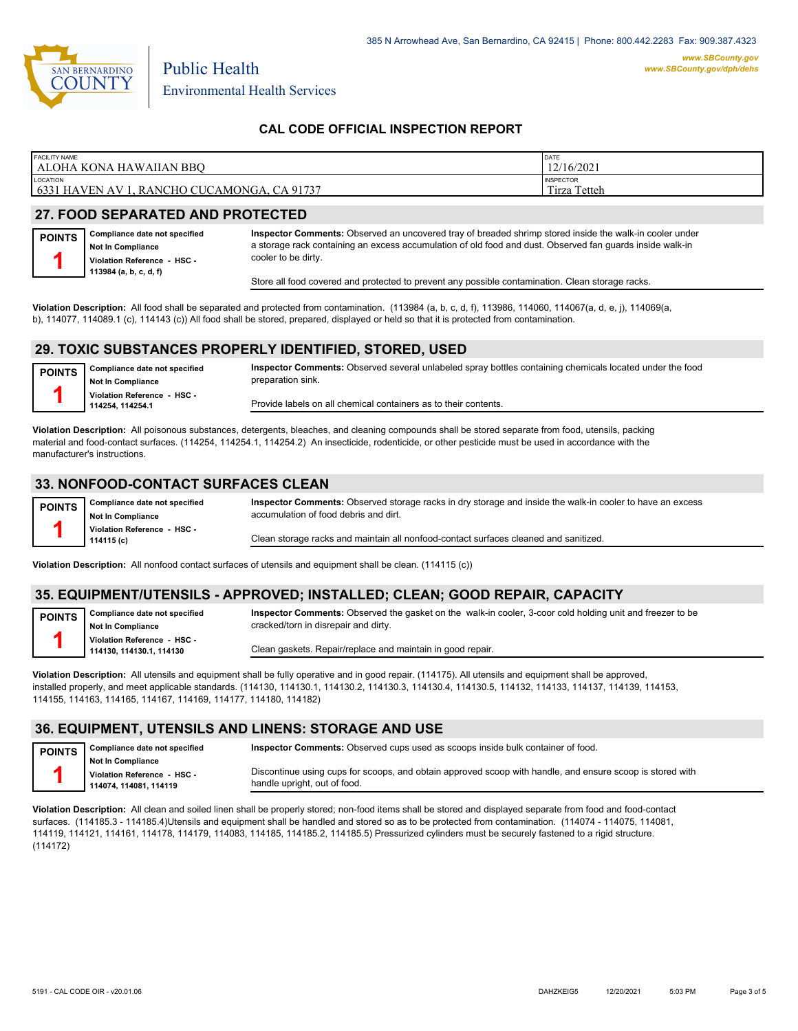

| <b>FACILITY NAME</b>                                   | DATE              |
|--------------------------------------------------------|-------------------|
| l ALOHA KONA HAWAIIAN BBO                              | 12/16/2021        |
| <b>LOCATION</b>                                        | <b>INSPECTOR</b>  |
| <b>6331 HAVEN AV 1</b><br>, RANCHO CUCAMONGA, CA 91737 | Tirza<br>↑ Tetteh |
|                                                        |                   |

## **27. FOOD SEPARATED AND PROTECTED**

| <b>POINTS</b> | Compliance date not specified |
|---------------|-------------------------------|
|               | Not In Compliance             |
|               | Violation Reference - HSC -   |
|               | 113984 (a, b, c, d, f)        |

**Inspector Comments:** Observed an uncovered tray of breaded shrimp stored inside the walk-in cooler under a storage rack containing an excess accumulation of old food and dust. Observed fan guards inside walk-in cooler to be dirty.

Store all food covered and protected to prevent any possible contamination. Clean storage racks.

**Violation Description:** All food shall be separated and protected from contamination. (113984 (a, b, c, d, f), 113986, 114060, 114067(a, d, e, j), 114069(a, b), 114077, 114089.1 (c), 114143 (c)) All food shall be stored, prepared, displayed or held so that it is protected from contamination.

#### **29. TOXIC SUBSTANCES PROPERLY IDENTIFIED, STORED, USED**

| <b>POINTS</b> | Compliance date not specified<br>Not In Compliance | Inspector Comments: Observed several unlabeled spray bottles containing chemicals located under the food<br>preparation sink. |
|---------------|----------------------------------------------------|-------------------------------------------------------------------------------------------------------------------------------|
|               | Violation Reference - HSC -<br>114254.114254.1     | Provide labels on all chemical containers as to their contents.                                                               |

**Violation Description:** All poisonous substances, detergents, bleaches, and cleaning compounds shall be stored separate from food, utensils, packing material and food-contact surfaces. (114254, 114254.1, 114254.2) An insecticide, rodenticide, or other pesticide must be used in accordance with the manufacturer's instructions.

#### **33. NONFOOD-CONTACT SURFACES CLEAN**

| <b>POINTS</b> | Compliance date not specified<br><b>Not In Compliance</b> | Inspector Comments: Observed storage racks in dry storage and inside the walk-in cooler to have an excess<br>accumulation of food debris and dirt. |
|---------------|-----------------------------------------------------------|----------------------------------------------------------------------------------------------------------------------------------------------------|
|               | Violation Reference HSC<br>114115 (c)                     | Clean storage racks and maintain all nonfood-contact surfaces cleaned and sanitized.                                                               |

**Violation Description:** All nonfood contact surfaces of utensils and equipment shall be clean. (114115 (c))

### **35. EQUIPMENT/UTENSILS - APPROVED; INSTALLED; CLEAN; GOOD REPAIR, CAPACITY**

**Compliance date not specified Not In Compliance Violation Reference - HSC - 114130, 114130.1, 114130 POINTS 1 Inspector Comments:** Observed the gasket on the walk-in cooler, 3-coor cold holding unit and freezer to be cracked/torn in disrepair and dirty. Clean gaskets. Repair/replace and maintain in good repair.

**Violation Description:** All utensils and equipment shall be fully operative and in good repair. (114175). All utensils and equipment shall be approved, installed properly, and meet applicable standards. (114130, 114130.1, 114130.2, 114130.3, 114130.4, 114130.5, 114132, 114133, 114137, 114139, 114153, 114155, 114163, 114165, 114167, 114169, 114177, 114180, 114182)

### **36. EQUIPMENT, UTENSILS AND LINENS: STORAGE AND USE**

**Compliance date not specified Not In Compliance Violation Reference - HSC - 114074, 114081, 114119 POINTS 1 Inspector Comments:** Observed cups used as scoops inside bulk container of food. Discontinue using cups for scoops, and obtain approved scoop with handle, and ensure scoop is stored with handle upright, out of food.

**Violation Description:** All clean and soiled linen shall be properly stored; non-food items shall be stored and displayed separate from food and food-contact surfaces. (114185.3 - 114185.4)Utensils and equipment shall be handled and stored so as to be protected from contamination. (114074 - 114075, 114081, 114119, 114121, 114161, 114178, 114179, 114083, 114185, 114185.2, 114185.5) Pressurized cylinders must be securely fastened to a rigid structure. (114172)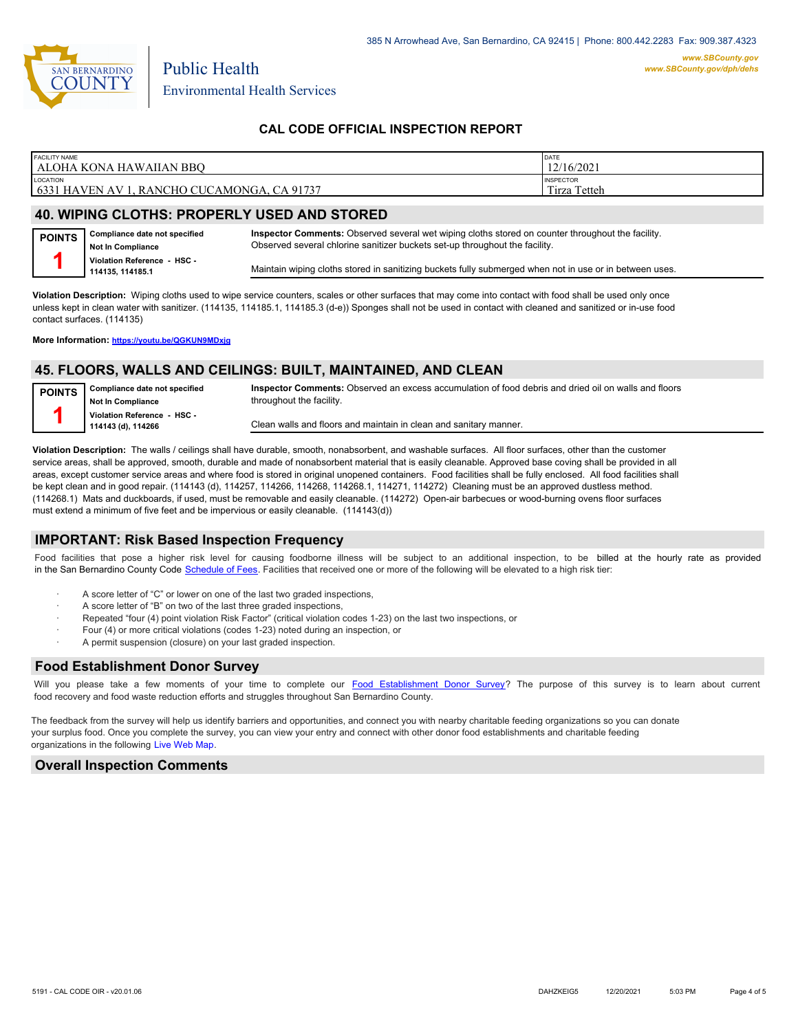

| <b>FACILITY NAME</b>                                                    | DATE                                  |
|-------------------------------------------------------------------------|---------------------------------------|
| l ALOHA KONA HAWAIIAN BBO                                               | 12/16/2021                            |
| <b>LOCATION</b><br>$6331$ HAVEN<br>, RANCHO CUCAMONGA, CA 91737<br>AV 1 | <b>INSPECTOR</b><br>Tirza<br>↑ Tetteh |

# **40. WIPING CLOTHS: PROPERLY USED AND STORED**

| POINTS   Compliance date not specified<br><b>Not In Compliance</b> | Inspector Comments: Observed several wet wiping cloths stored on counter throughout the facility.<br>Observed several chlorine sanitizer buckets set-up throughout the facility. |
|--------------------------------------------------------------------|----------------------------------------------------------------------------------------------------------------------------------------------------------------------------------|
| Violation Reference - HSC -<br>114135.114185.1                     | Maintain wiping cloths stored in sanitizing buckets fully submerged when not in use or in between uses.                                                                          |

**Violation Description:** Wiping cloths used to wipe service counters, scales or other surfaces that may come into contact with food shall be used only once unless kept in clean water with sanitizer. (114135, 114185.1, 114185.3 (d-e)) Sponges shall not be used in contact with cleaned and sanitized or in-use food contact surfaces. (114135)

**More Information: <https://youtu.be/QGKUN9MDxjg>**

#### **45. FLOORS, WALLS AND CEILINGS: BUILT, MAINTAINED, AND CLEAN**

| <b>POINTS</b> | Compliance date not specified<br><b>Not In Compliance</b> | Inspector Comments: Observed an excess accumulation of food debris and dried oil on walls and floors<br>throughout the facility. |
|---------------|-----------------------------------------------------------|----------------------------------------------------------------------------------------------------------------------------------|
|               | Violation Reference - HSC -<br>114143 (d), 114266         | Clean walls and floors and maintain in clean and sanitary manner.                                                                |

**Violation Description:** The walls / ceilings shall have durable, smooth, nonabsorbent, and washable surfaces. All floor surfaces, other than the customer service areas, shall be approved, smooth, durable and made of nonabsorbent material that is easily cleanable. Approved base coving shall be provided in all areas, except customer service areas and where food is stored in original unopened containers. Food facilities shall be fully enclosed. All food facilities shall be kept clean and in good repair. (114143 (d), 114257, 114266, 114268, 114268.1, 114271, 114272) Cleaning must be an approved dustless method. (114268.1) Mats and duckboards, if used, must be removable and easily cleanable. (114272) Open-air barbecues or wood-burning ovens floor surfaces must extend a minimum of five feet and be impervious or easily cleanable. (114143(d))

#### **IMPORTANT: Risk Based Inspection Frequency**

Food facilities that pose a higher risk level for causing foodborne illness will be subject to an additional inspection, to be billed at the hourly rate as provided in the San Bernardino Count[y Code Schedule of Fees. Facilitie](https://codelibrary.amlegal.com/codes/sanbernardino/latest/sanberncty_ca/0-0-0-122474#JD_16.0213B)s that received one or more of the following will be elevated to a high risk tier:

- A score letter of "C" or lower on one of the last two graded inspections,
- A score letter of "B" on two of the last three graded inspections
- Repeated "four (4) point violation Risk Factor" (critical violation codes 1-23) on the last two inspections, or
- · Four (4) or more critical violations (codes 1-23) noted during an inspection, or
- A permit suspension (closure) on your last graded inspection.

#### **Food Establishment Donor Survey**

Will you please take a few moments of your time to co[mplete our Food Establishment Donor Survey?](https://survey123.arcgis.com/share/626bb0fb21674c82832b0c0d557c5e80?field:faid=FA0000253&field:facility_name=ALOHA%20KONA%20HAWAIIAN%20BBQ¢er=34.14,-117.58&field:phone=9099891206) The purpose of this survey is to learn about current food recovery and food waste reduction efforts and struggles throughout San Bernardino County.

The feedback from the survey will help us identify barriers and opportunities, and connect you with nearby charitable feeding organizations so you can donate your surplus food. Once you complete the survey, you can view your entry and connect with other donor food establishments and charitable feeding organizations in the fol[lowing Live Web Map.](https://arcg.is/WvjGb)

### **Overall Inspection Comments**